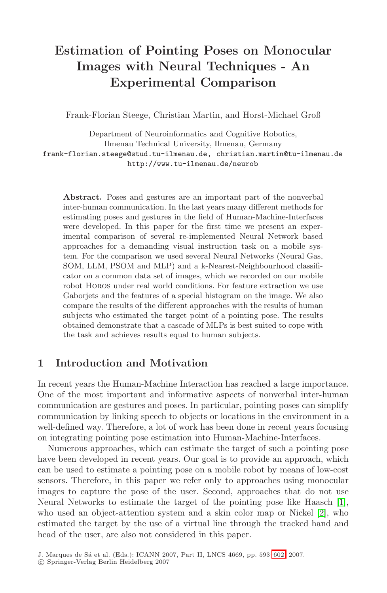# **Estimation of Pointing Poses on Monocular Images with Neural Techniques - An Experimental Comparison**

Frank-Florian Steege, Christian Martin, and Horst-Michael Groß

Department of Neuroinformatics and Cognitive Robotics, Ilmenau Technical University, Ilmenau, Germany frank-florian.steege@stud.tu-ilmenau.de, christian.martin@tu-ilmenau.de http://www.tu-ilmenau.de/neurob

**Abstract.** Poses and gestures are an important part of the nonverbal inter-human communication. In the last years many different methods for estimating poses and gestures in the field of Human-Machine-Interfaces were developed. In this paper for the first time we present an experimental comparison of several re-implemented Neural Network based approaches for a demanding visual instruction task on a mobile system. For the comparison we used several Neural Networks (Neural Gas, SOM, LLM, PSOM and MLP) and a k-Nearest-Neighbourhood classificator on a common data set of images, which we recorded on our mobile robot Horos under real world conditions. For feature extraction we use Gaborjets and the features of a special histogram on the image. We also compare the results of the different approaches with the results of human subjects who estimated the target point of a pointing pose. The results obtained demonstrate that a cascade of MLPs is best suited to cope with the task and achieves results equal to human subjects.

# **1 Introduction and Motivation**

In recent years the Human-Machine Interaction has reached a large importance. One of the most important and informative aspects of nonverbal inter-human communication are gestures and poses. In particular, pointing poses can simplify communication by linking speech to objects or locations in the environment in a well-defined way. Therefore, a lot of work has been done in recent years focusing on integrating pointing pose estimation into Human-Machine-Interfaces.

Numerous approaches, which can estimate the target of such a pointing pose have been developed in recent years. Our goal is to provide an approach, which can be used to estimate a pointing pose [on a](#page-9-0) mobile robot by means of low-cost sensors. Therefore, in this paper we refer only to approaches using monocular images to capture the pose of the user. Second, approaches that do not use Neural Networks to estimate the target of the pointing pose like Haasch [1], who used an object-attention system and a skin color map or Nickel [2], who estimated the target by the use of a virtual line through the tracked hand and head of the user, are also not considered in this paper.

J. Marques de Sá et al. (Eds.): ICANN 2007, Part II, LNCS 4669, pp. 593-602, 2007.

<sup>-</sup>c Springer-Verlag Berlin Heidelberg 2007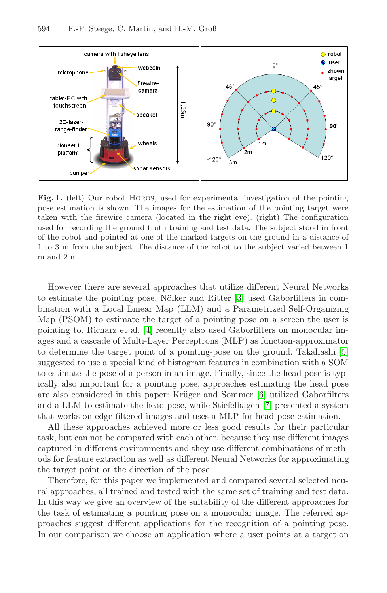

Fig. 1. (left) Our robot HOROS, used for experimental investigation of the pointing pose estimation is shown. The images for the estimation of the pointing target were taken with the firewire camera (located in the right eye). (right) The configuration used for recording the ground truth training and test data. The subject stood in front of the robot and pointed at one of the marked targets on the ground in a distance of 1 to 3 m from the subject. The distance of the robot to the subject varied between 1 m and 2 m.

However there are several approaches that utilize different Neural Networks to estimate the pointing pose. Nölker and Ritter [3] used Gaborfilters in combination with a Local Linear Map (LLM) and a Parametrized Self-Organizing Map (PSOM) to estimate the target of a pointing pose on a screen the user is pointing to. Richarz et al. [4] recently also used Gaborfilters on monocular images and a cascade of Multi-Layer Perceptrons (MLP) as function-approximator to determine the target point of a pointing-pose on the ground. Takahashi [5] suggested to use a special kind of histogram features in combination with a SOM to estimate the pose of a person in an image. Finally, since the head pose is typically also important for a pointing pose, approaches estimating the head pose are also considered in this paper: Krüger and Sommer [6] utilized Gaborfilters and a LLM to estimate the head pose, while Stiefelhagen [7] presented a system that works on edge-filtered images and uses a MLP for head pose estimation.

All these approaches achieved more or less good results for their particular task, but can not be compared with each other, because they use different images captured in different environments and they use different combinations of methods for feature extraction as well as different Neural Networks for approximating the target point or the direction of the pose.

Therefore, for this paper we implemented and compared several selected neural approaches, all trained and tested with the same set of training and test data. In this way we give an overview of the suitability of the different approaches for the task of estimating a pointing pose on a monocular image. The referred approaches suggest different applications for the recognition of a pointing pose. In our comparison we choose an application where a user points at a target on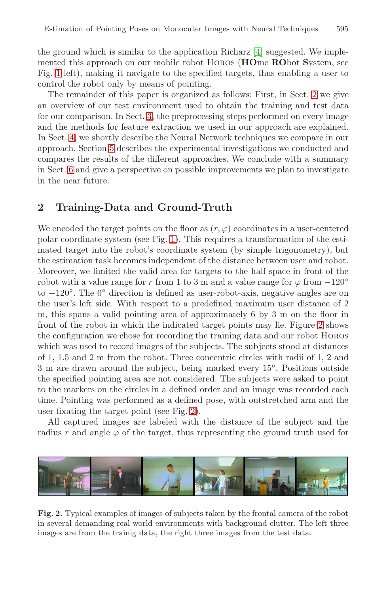the ground which is similar to the application Richarz [4] suggested. We implemented this approach on our mobile robot Horos (**HO**me **RO**bot **S**ystem, see Fig. 1 left), making it navigate to the specified targets, thus enabling a user to control the robot only by means of pointing.

The remainder of this paper is organized as follows: First, in Sect. 2 we give an overview of our test environment used to obtain the training and test data for our comparison. In Sect. 3, the preprocessing steps performed on every image and the methods for feature extraction we used in our approach are explained. In Sect. 4, we shortly describe the Neural Network techniques we compare in our approach. Section 5 describes the experimental investigations we conducted and compares the results of the different approaches. We conclude with a summary in Sect. 6 and give a perspective on possible improvements we plan to investigate in the near future.

# **2 Training-Data and Ground-Truth**

We encoded the target points on the floor as  $(r, \varphi)$  coordinates in a user-centered polar coordinate system (see Fig. 1). This requires a transformation of the estimated target into the robot's coordinate system (by simple trigonometry), but the estimation task becomes independent of the distance between user and robot. Moreover, we limited the valid area for targets to the half space in front of the robot with a value range for r from 1 to 3 m and a value range for  $\varphi$  from  $-120^{\circ}$ to +120◦. The 0◦ direction is defined as user-robot-axis, negative angles are on the user's left side. With respect to a predefined maximum user distance of 2 m, this spans a valid pointing area of approximately 6 by 3 m on the floor in front of the robot in which the indicated target points may lie. Figure 2 shows the configuration we chose for recording the training data and our robot Horos which was used to record images of the subjects. The subjects stood at distances of 1, 1.5 and 2 m from the robot. Three concentric circles with radii of 1, 2 and 3 m are drawn around the subject, being marked every 15◦. Positions outside the specified pointing area are not considered. The subjects were asked to point to the markers on the circles in a defined order and an image was recorded each time. Pointing was performed as a defined pose, with outstretched arm and the user fixating the target point (see Fig. 2).

All captured images are labeled with the distance of the subject and the radius r and angle  $\varphi$  of the target, thus representing the ground truth used for



**Fig. 2.** Typical examples of images of subjects taken by the frontal camera of the robot in several demanding real world environments with background clutter. The left three images are from the trainig data, the right three images from the test data.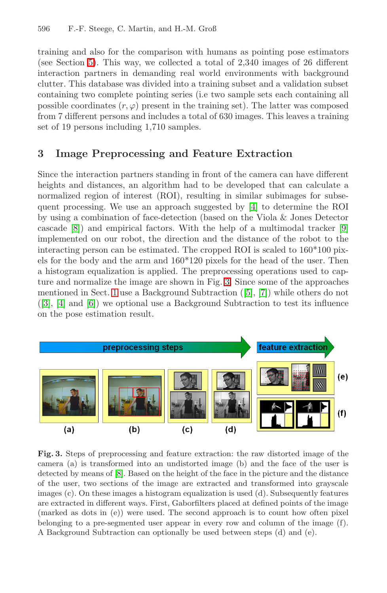training and also for the comparison with humans as pointing pose estimators (see Section 5). This way, we collected a total of 2,340 images of 26 different interaction partners in demanding real world environments with background clutter. This database was divided into a training subset and a validation subset containing two complete pointing series (i.e two sample sets each containing all possible coordinates  $(r, \varphi)$  present in the training set). The latter was composed from 7 different persons and includes a total of 630 images. This leaves a training set of 19 persons including 1,710 samples.

## **3 Image Preprocessing and Feature Extraction**

Since the interaction partners standing in front of the camera can have different heights and distances, an algorithm had to be developed that can calculate a normalized region of interest (ROI), resulting in similar subimages for subsequent processing. We use an approach suggested by [4] to determine the ROI by using a combination of face-detection (based on the Viola & Jones Detector cascade [8]) and empirical factors. With the help of a multimodal tracker [9] implemented on our robot, the direction and the distance of the robot to the interacting person can be estimated. The cropped ROI is scaled to  $160*100$  pixels for the body and the arm and 160\*120 pixels for the head of the user. Then a histogram equalization is applied. The preprocessing operations used to capture and normalize the image are shown in Fig. 3. Since some of the approaches mentioned in Sect. 1 use a Background Subtraction ([5], [7]) while others do not ([3], [4] and [6]) we optional use a Background Subtraction to test its influence on the pose estimation result.



**Fig. 3.** Steps of preprocessing and feature extraction: the raw distorted image of the camera (a) is transformed into an undistorted image (b) and the face of the user is detected by means of [8]. Based on the height of the face in the picture and the distance of the user, two sections of the image are extracted and transformed into grayscale images  $(c)$ . On these images a histogram equalization is used  $(d)$ . Subsequently features are extracted in different ways. First, Gaborfilters placed at defined points of the image (marked as dots in (e)) were used. The second approach is to count how often pixel belonging to a pre-segmented user appear in every row and column of the image (f). A Background Subtraction can optionally be used between steps (d) and (e).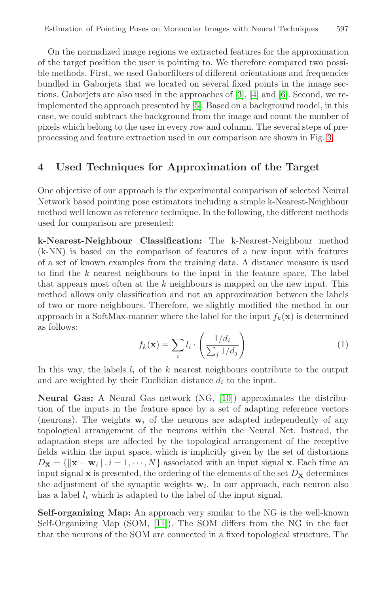On the normalized image regions we extracted features for the approximation of the target position the user is pointing to. We therefore compared two possible methods. First, we used Gaborfilters of different orientations and frequencies bundled in Gaborjets that we located on several fixed points in the image sections. Gaborjets are also used in the approaches of [3], [4] and [6]. Second, we reimplemented the approach presented by [5]. Based on a background model, in this case, we could subtract the background from the image and count the number of pixels which belong to the user in every row and column. The several steps of preprocessing and feature extraction used in our comparison are shown in Fig. 3.

# **4 Used Techniques for Approximation of the Target**

One objective of our approach is the experimental comparison of selected Neural Network based pointing pose estimators including a simple k-Nearest-Neighbour method well known as reference technique. In the following, the different methods used for comparison are presented:

**k-Nearest-Neighbour Classification:** The k-Nearest-Neighbour method (k-NN) is based on the comparison of features of a new input with features of a set of known examples from the training data. A distance measure is used to find the  $k$  nearest neighbours to the input in the feature space. The label that appears most often at the  $k$  neighbours is mapped on the new input. This method allows only classification and not an approximation between the labels of two or more neighbours. Therefore, we slightly modified the method in our approach in a SoftMax-manner where the label for the input  $f_k(\mathbf{x})$  is determined as follows:

$$
f_k(\mathbf{x}) = \sum_i l_i \cdot \left(\frac{1/d_i}{\sum_j 1/d_j}\right) \tag{1}
$$

In this way, the labels  $l_i$  of the k nearest neighbours contribute to the output and are weighted by their Euclidian distance  $d_i$  to the input.

**Neural Gas:** A Neural Gas network (NG, [10]) approximates the distribution of the inputs in the feature space by a set of adapting reference vectors (neurons). The weights  $w_i$  of the neurons are adapted independently of any topological arrangement of the neurons within the Neural Net. Instead, the adaptation steps are affected by the topological arrangement of the receptive fields within the input space, which is implicitly given by the set of distortions  $D_{\mathbf{X}} = \{\|\mathbf{x} - \mathbf{w}_i\|, i = 1, \cdots, N\}$  associated with an input signal **x**. Each time an input signal **x** is presented, the ordering of the elements of the set  $D_x$  determines the adjustment of the synaptic weights  $w_i$ . In our approach, each neuron also has a label  $l_i$  which is adapted to the label of the input signal.

**Self-organizing Map:** An approach very similar to the NG is the well-known Self-Organizing Map (SOM, [11]). The SOM differs from the NG in the fact that the neurons of the SOM are connected in a fixed topological structure. The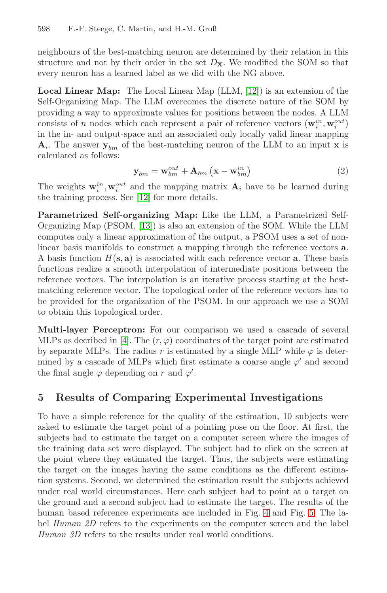neighbours of the best-matching neuron are determined by their relation in this structure and not by their order in the set  $D_{\mathbf{X}}$ . We modified the SOM so that every neuron has a learned label as we did with the NG above.

**Local Linear Map:** The Local Linear Map (LLM, [12]) is an extension of the Self-Organizing Map. The LLM overcomes the discrete nature of the SOM by providing a way to approximate values for positions between the nodes. A LLM consists of n nodes which each represent a pair of reference vectors  $(\mathbf{w}_i^{in}, \mathbf{w}_i^{out})$ in the in- and output-space and an associated only locally valid linear mapping  $\mathbf{A}_i$ . The answer  $\mathbf{y}_{bm}$  of the best-matching neuron of the LLM to an input **x** is calculated as follows:

$$
\mathbf{y}_{bm} = \mathbf{w}_{bm}^{out} + \mathbf{A}_{bm} \left( \mathbf{x} - \mathbf{w}_{bm}^{in} \right) \tag{2}
$$

The weights  $\mathbf{w}_i^{in}$ ,  $\mathbf{w}_i^{out}$  and the mapping matrix  $\mathbf{A}_i$  have to be learned during the training process. See [12] for more details.

**Parametrized Self-organizing Map:** Like the LLM, a Parametrized Self-Organizing Map (PSOM, [13]) is also an extension of the SOM. While the LLM computes only a linear approximation of the output, a PSOM uses a set of nonlinear basis manifolds to construct a mapping through the reference vectors **a**. A basis function  $H(s, a)$  is associated with each reference vector **a**. These basis functions realize a smooth interpolation of intermediate positions between the reference vectors. The interpolation is an iterative process starting at the bestmatching reference vector. The topological order of the reference vectors has to be provided for the organization of the PSOM. In our approach we use a SOM to obtain this topological order.

**Multi-layer Perceptron:** For our comparison we used a cascade of several MLPs as decribed in [4]. The  $(r, \varphi)$  coordinates of the target point are estimated by separate MLPs. The radius r is estimated by a single MLP while  $\varphi$  is determined by a cascade of MLPs which first estimate a coarse angle  $\varphi'$  and second the final angle  $\varphi$  depending on r and  $\varphi'$ .

# **5 Results of Comparing Experimental Investigations**

To have a simple reference for the quality of the estimation, 10 subjects were asked to estimate the target point of a pointing pose on the floor. At first, the subjects had to estimate the target on a computer screen where the images of the training data set were displayed. The subject had to click on the screen at the point where they estimated the target. Thus, the subjects were estimating the target on the images having the same conditions as the different estimation systems. Second, we determined the estimation result the subjects achieved under real world circumstances. Here each subject had to point at a target on the ground and a second subject had to estimate the target. The results of the human based reference experiments are included in Fig. 4 and Fig. 5. The label Human 2D refers to the experiments on the computer screen and the label Human 3D refers to the results under real world conditions.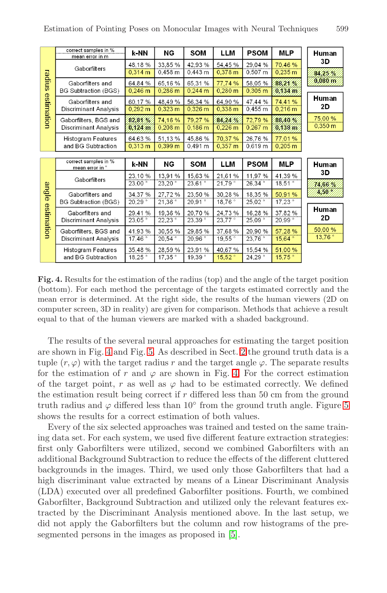Estimation of Pointing Poses on Monocular Images with Neural Techniques 599

|                      | correct samples in %<br>mean error in m   | k-NN                        | ΝG                          | <b>SOM</b>           | LLM                 | <b>PSOM</b>             | <b>MLP</b>                  | Human            |
|----------------------|-------------------------------------------|-----------------------------|-----------------------------|----------------------|---------------------|-------------------------|-----------------------------|------------------|
| radius<br>estimation | Gaborfilters                              | 48.18%                      | 33,85%                      | 42,93%               | 54,45 %             | 29,04 %                 | 70.46%                      | 3D               |
|                      |                                           | 0.314 m                     | 0.458 m                     | 0,443 m              | $0,378$ m           | 0,507 m                 | $0,235$ m                   | 84,25%           |
|                      | Gaborfilters and                          | 64.84%                      | 65,16%                      | 65,31%               | 77,74 %             | 58,05%                  | 88.21 %                     | 0.080 m          |
|                      | <b>BG Subtraction (BGS)</b>               | $0,246$ m                   | $0,286$ m                   | $0,244 \text{ m}$    | $0,280 \; \text{m}$ | $0,305 \; m$            | <b>9.Y34/W</b>              |                  |
|                      | Gaborfilters and<br>Discriminant Analysis | 60,17%<br>$0,292 \text{ m}$ | 48,49%<br>$0,323 \text{ m}$ | 56,34 %<br>$0,326$ m | 64.90%<br>0,338 m   | 47.44 %<br>$0,455 \, m$ | 74.41%<br>0.216 m           | Human<br>2D      |
|                      | Gaborfilters, BGS and                     | 82.81/16                    | 74.16%                      | 79.27 %              | <b>84,24%</b>       | 72.79%                  | 88.40%                      | 75,00 %          |
|                      | Discriminant Analysis                     | 0.124.10                    | $0,208$ m                   | $0,186 \, m$         | $0,226$ m           | $0,267 \; m$            | 0.138.00                    | 0,350 m          |
|                      | Histogram Features                        | 64,63%                      | 51,13%                      | 45,86%               | 70,37 %             | 26,76%                  | 77,01%                      |                  |
|                      | and BG Subtraction                        | $0,313 \text{ m}$           | 0.399 m                     | 0.491 m              | 0.357 m             | 0.619 m                 | 0.205 m                     |                  |
|                      |                                           |                             |                             |                      |                     |                         |                             |                  |
|                      | correct samples in %                      |                             |                             |                      |                     |                         |                             |                  |
|                      | mean error in °                           | k-NN                        | ΝG                          | <b>SOM</b>           | LLM                 | <b>PSOM</b>             | <b>MLP</b>                  | Human            |
|                      |                                           | 23.10%                      | 13.91 %                     | 15.63%               | 21.61%              | 11,97 %                 | 41.39%                      | 3D               |
|                      | Gaborfilters                              | 23.00°                      | 23,20°                      | 23,61°               | 21,79°              | 26,34 °                 | 18,51°                      | 14,662%          |
|                      | Gaborfilters and                          | 34,37 %                     | 27,72%                      | 23.50 %              | 30.28%              | 18,35 %                 | 50.91%                      | 4,50             |
| algle                | <b>BG Subtraction (BGS)</b>               | 20,29°                      | 21,36°                      | 20,91°               | 18,76 <sup>°</sup>  | 25,02°                  | 17,23 $^{\circ}$            |                  |
|                      | Gaborfilters and                          | 29,41%                      | 19,36 %                     | 20.70%               | 24,73%              |                         |                             | Human            |
|                      | Discriminant Analysis                     | 23,05°                      | 22.23°                      | 23.39°               | 23.77°              | 16,28%<br>25.09°        | 37,82%<br>20,99°            | 2D               |
|                      | Gaborfilters, BGS and                     | 41.93%                      | 30.55%                      | 29,85%               | 37.68%              | 20.90%                  | 57.28%                      | 50.00%           |
| estimation           | Discriminant Analysis                     | 17,46 $^{\circ}$            | 20,54 $^{\circ}$            | 20,96 °              | 19.55°              | 23,76 °                 | 15,64°                      | 13,76 $^{\circ}$ |
|                      | Histogram Features<br>and BG Subtraction  | 35,48%<br>18,25 $^{\circ}$  | 28.59%<br>17,35 $^{\circ}$  | 23.91%<br>19,39°     | 40.67%<br>15,52°    | 15.54 %<br>24,29°       | 51.00 %<br>15,75 $^{\circ}$ |                  |

**Fig. 4.** Results for the estimation of the radius (top) and the angle of the target position (bottom). For each method the percentage of the targets estimated correctly and the mean error is determined. At the right side, the results of the human viewers (2D on computer screen, 3D in reality) are given for comparison. Methods that achieve a result equal to that of the human viewers are marked with a shaded background.

The results of the several neural approaches for estimating the target position are shown in Fig. 4 and Fig. 5. As described in Sect. 2 the ground truth data is a tuple  $(r, \varphi)$  with the target radius r and the target angle  $\varphi$ . The separate results for the estimation of r and  $\varphi$  are shown in Fig. 4. For the correct estimation of the target point, r as well as  $\varphi$  had to be estimated correctly. We defined the estimation result being correct if  $r$  differed less than 50 cm from the ground truth radius and  $\varphi$  differed less than 10 $\degree$  from the ground truth angle. Figure 5 shows the results for a correct estimation of both values.

Every of the six selected approaches was trained and tested on the same training data set. For each system, we used five different feature extraction strategies: first only Gaborfilters were utilized, second we combined Gaborfilters with an additional Background Subtraction to reduce the effects of the different cluttered backgrounds in the images. Third, we used only those Gaborfilters that had a high discriminant value extracted by means of a Linear Discriminant Analysis (LDA) executed over all predefined Gaborfilter positions. Fourth, we combined Gaborfilter, Background Subtraction and utilized only the relevant features extracted by the Discriminant Analysis mentioned above. In the last setup, we did not apply the Gaborfilters but the column and row histograms of the presegmented persons in the images as proposed in [5].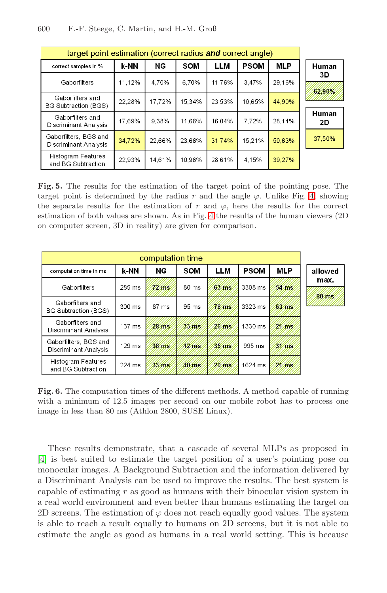| target point estimation (correct radius and correct angle) |        |           |            |            |             |            |              |
|------------------------------------------------------------|--------|-----------|------------|------------|-------------|------------|--------------|
| correct samples in %                                       | k-NN   | <b>NG</b> | <b>SOM</b> | <b>LLM</b> | <b>PSOM</b> | <b>MLP</b> | <b>Human</b> |
| Gaborfilters                                               | 11.12% | 4.70%     | 6.70%      | 11.76%     | 3.47%       | 29,16%     | 3D           |
| Gaborfilters and<br><b>BG Subtraction (BGS)</b>            | 22.28% | 17.72%    | 15.34%     | 23.53%     | 10.65%      | 44.90%     | 62.90%       |
| Gaborfilters and<br>Discriminant Analysis                  | 17.69% | 9.38%     | 11.66%     | 16.04%     | 7.72%       | 28.14%     | Human<br>2D  |
| Gaborfilters, BGS and<br>Discriminant Analysis             | 34,72% | 22.66%    | 23.66%     | 31.74%     | 15.21%      | 50.63%     | 37,50%       |
| Histogram Features<br>and BG Subtraction                   | 22.93% | 14.61%    | 10.96%     | 28,61%     | 4.15%       | 39.27%     |              |

**Fig. 5.** The results for the estimation of the target point of the pointing pose. The target point is determined by the radius  $r$  and the angle  $\varphi$ . Unlike Fig. 4, showing the separate results for the estimation of  $r$  and  $\varphi$ , here the results for the correct estimation of both values are shown. As in Fig. 4 the results of the human viewers (2D on computer screen, 3D in reality) are given for comparison.

|                                                 |          | computation time |               |                |             |                 |           |
|-------------------------------------------------|----------|------------------|---------------|----------------|-------------|-----------------|-----------|
| computation time in ms                          | k-NN     | ΝG               | <b>SOM</b>    | <b>LLM</b>     | <b>PSOM</b> | <b>MLP</b>      | allowed   |
| Gaborfilters                                    | 285 ms   | 72.XXS           | 80 ms         | <b>83.118</b>  | 3308 ms     | <b>SA/11/15</b> | max.      |
| Gaborfilters and<br><b>BG Subtraction (BGS)</b> | 300 ms   | 87 ms            | 95 ms         | <b>78.005</b>  | 3323 ms     | 83/0.5          | $80$ $ms$ |
| Gaborfilters and<br>Discriminant Analysis       | 137 ms   | <b>28 ms</b>     | <b>33/ms</b>  | <b>28/11/5</b> | 1330 ms     | 21/ms           |           |
| Gaborfilters, BGS and<br>Discriminant Analysis  | $129$ ms | 28/AS            | <b>NY KKS</b> | 35/162         | 995 ms      | 31/163          |           |
| Histogram Features<br>and BG Subtraction        | 224 ms   | <b>33/11/3</b>   | 48/668        | <b>29/165</b>  | 1624 ms     | <b>21/105</b>   |           |

**Fig. 6.** The computation times of the different methods. A method capable of running with a minimum of 12.5 images per second on our mobile robot has to process one image in less than 80 ms (Athlon 2800, SUSE Linux).

These results demonstrate, that a cascade of several MLPs as proposed in [4] is best suited to estimate the target position of a user's pointing pose on monocular images. A Background Subtraction and the information delivered by a Discriminant Analysis can be used to improve the results. The best system is capable of estimating  $r$  as good as humans with their binocular vision system in a real world environment and even better than humans estimating the target on 2D screens. The estimation of  $\varphi$  does not reach equally good values. The system is able to reach a result equally to humans on 2D screens, but it is not able to estimate the angle as good as humans in a real world setting. This is because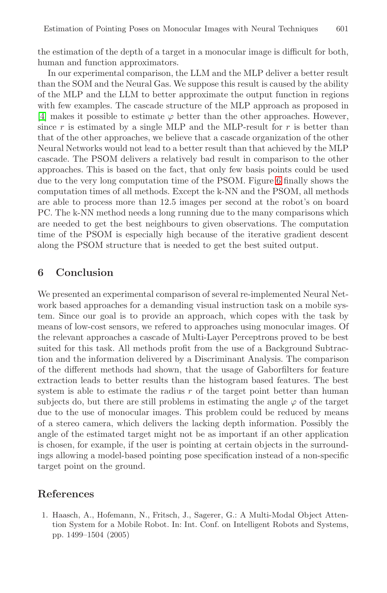the estimation of the depth of a target in a monocular image is difficult for both, human and function approximators.

In our experimental comparison, the LLM and the MLP deliver a better result than the SOM and the Neural Gas. We suppose this result is caused by the ability of the MLP and the LLM to better approximate the output function in regions with few examples. The cascade structure of the MLP approach as proposed in [4] makes it possible to estimate  $\varphi$  better than the other approaches. However, since r is estimated by a single MLP and the MLP-result for r is better than that of the other approaches, we believe that a cascade organization of the other Neural Networks would not lead to a better result than that achieved by the MLP cascade. The PSOM delivers a relatively bad result in comparison to the other approaches. This is based on the fact, that only few basis points could be used due to the very long computation time of the PSOM. Figure 6 finally shows the computation times of all methods. Except the k-NN and the PSOM, all methods are able to process more than 12.5 images per second at the robot's on board PC. The k-NN method needs a long running due to the many comparisons which are needed to get the best neighbours to given observations. The computation time of the PSOM is especially high because of the iterative gradient descent along the PSOM structure that is needed to get the best suited output.

# **6 Conclusion**

We presented an experimental comparison of several re-implemented Neural Network based approaches for a demanding visual instruction task on a mobile system. Since our goal is to provide an approach, which copes with the task by means of low-cost sensors, we refered to approaches using monocular images. Of the relevant approaches a cascade of Multi-Layer Perceptrons proved to be best suited for this task. All methods profit from the use of a Background Subtraction and the information delivered by a Discriminant Analysis. The comparison of the different methods had shown, that the usage of Gaborfilters for feature extraction leads to better results than the histogram based features. The best system is able to estimate the radius  $r$  of the target point better than human subjects do, but there are still problems in estimating the angle  $\varphi$  of the target due to the use of monocular images. This problem could be reduced by means of a stereo camera, which delivers the lacking depth information. Possibly the angle of the estimated target might not be as important if an other application is chosen, for example, if the user is pointing at certain objects in the surroundings allowing a model-based pointing pose specification instead of a non-specific target point on the ground.

## **References**

1. Haasch, A., Hofemann, N., Fritsch, J., Sagerer, G.: A Multi-Modal Object Attention System for a Mobile Robot. In: Int. Conf. on Intelligent Robots and Systems, pp. 1499–1504 (2005)